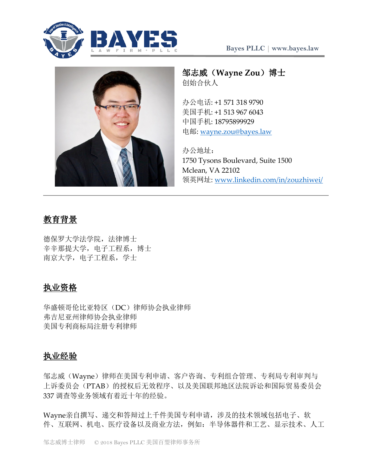



# 邹志威(**Wayne Zou**)博士 创始合伙人

办公电话: +1 571 318 9790 美国手机: +1 513 967 6043 中国手机: 18795899929 电邮: [wayne.zou@bayes.law](mailto:wayne.zou@bayes.law)

办公地址: 1750 Tysons Boulevard, Suite 1500 Mclean, VA 22102 领英网址: [www.linkedin.com/in/zouzhiwei/](https://www.linkedin.com/in/zouzhiwei/)

# 教育背景

德保罗大学法学院,法律博士 辛辛那提大学,电子工程系,博士 南京大学,电子工程系,学士

# 执业资格

华盛顿哥伦比亚特区(DC)律师协会执业律师 弗吉尼亚州律师协会执业律师 美国专利商标局注册专利律师

## 执业经验

邹志威(Wayne)律师在美国专利申请、客户咨询、专利组合管理、专利局专利审判与 上诉委员会(PTAB)的授权后无效程序、以及美国联邦地区法院诉讼和国际贸易委员会 337 调查等业务领域有着近十年的经验。

Wayne亲自撰写、递交和答辩过上千件美国专利申请,涉及的技术领域包括电子、软 件、互联网、机电、医疗设备以及商业方法,例如:半导体器件和工艺、显示技术、人工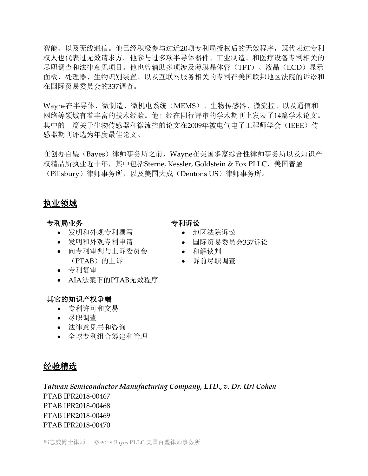智能、以及无线通信。他已经积极参与过近20项专利局授权后的无效程序,既代表过专利 权人也代表过无效请求方。他参与过多项半导体器件、工业制造、和医疗设备专利相关的 尽职调查和法律意见项目。他也曾辅助多项涉及薄膜晶体管(TFT)、液晶(LCD)显示 面板、处理器、生物识别装置、以及互联网服务相关的专利在美国联邦地区法院的诉讼和 在国际贸易委员会的337调查。

Wayne在半导体、微制造、微机电系统(MEMS)、生物传感器、微流控、以及通信和 网络等领域有着丰富的技术经验。他已经在同行评审的学术期刊上发表了14篇学术论文。 其中的一篇关于生物传感器和微流控的论文在2009年被电气电子工程师学会(IEEE)传 感器期刊评选为年度最佳论文。

在创办百琞(Bayes)律师事务所之前,Wayne在美国多家综合性律师事务所以及知识产 权精品所执业近十年,其中包括Sterne, Kessler, Goldstein & Fox PLLC,美国普盈 (Pillsbury)律师事务所,以及美国大成(Dentons US)律师事务所。

### 执业领域

### 专利局业务

- 发明和外观专利撰写
- 发明和外观专利申请
- 向专利审判与上诉委员会 (PTAB)的上诉
- 专利复审
- AIA法案下的PTAB无效程序

### 其它的知识产权争端

- 专利许可和交易
- 尽职调查
- 法律意见书和咨询
- 全球专利组合筹建和管理

## 经验精选

*Taiwan Semiconductor Manufacturing Company, LTD***.,** *v. Dr. Uri Cohen* PTAB IPR2018-00467 PTAB IPR2018-00468 PTAB IPR2018-00469 PTAB IPR2018-00470

# 专利诉讼

- 地区法院诉讼
- 国际贸易委员会337诉讼
- 和解谈判
- 诉前尽职调查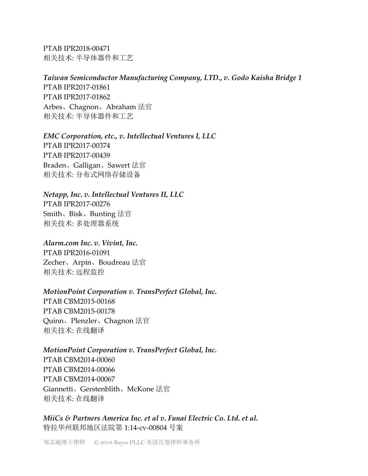PTAB IPR2018-00471 相关技术: 半导体器件和工艺

### *Taiwan Semiconductor Manufacturing Company, LTD***.,** *v. Godo Kaisha Bridge 1*

PTAB IPR2017-01861 PTAB IPR2017-01862 Arbes、Chagnon、Abraham 法官 相关技术: 半导体器件和工艺

### *EMC Corporation, etc., v. Intellectual Ventures I, LLC*

PTAB IPR2017-00374 PTAB IPR2017-00439 Braden、Galligan、Sawert 法官 相关技术: 分布式网络存储设备

*Netapp, Inc. v. Intellectual Ventures II, LLC* PTAB IPR2017-00276 Smith、Bisk、Bunting 法官

相关技术: 多处理器系统

*Alarm.com Inc. v. Vivint, Inc.* PTAB IPR2016-01091 Zecher、Arpin、Boudreau 法官 相关技术: 远程监控

### *MotionPoint Corporation v. TransPerfect Global, Inc.*

PTAB CBM2015-00168 PTAB CBM2015-00178 Quinn、Plenzler、Chagnon 法官 相关技术: 在线翻译

#### *MotionPoint Corporation v. TransPerfect Global, Inc.*

PTAB CBM2014-00060 PTAB CBM2014-00066 PTAB CBM2014-00067 Giannetti、Gerstenblith、McKone 法官 相关技术: 在线翻译

*MiiCs & Partners America Inc. et al v. Funai Electric Co. Ltd. et al.*  特拉华州联邦地区法院第 1:14-cv-00804 号案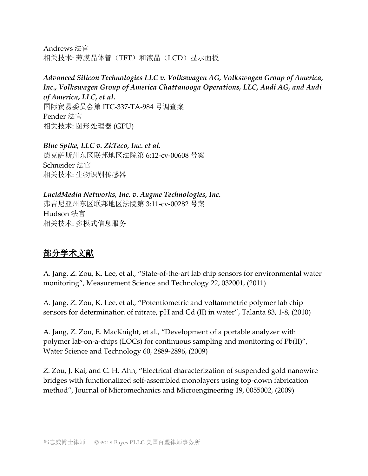Andrews 法官 相关技术: 薄膜晶体管(TFT)和液晶(LCD)显示面板

## *Advanced Silicon Technologies LLC v. Volkswagen AG, Volkswagen Group of America, Inc., Volkswagen Group of America Chattanooga Operations, LLC, Audi AG, and Audi of America, LLC, et al.* 国际贸易委员会第 ITC-337-TA-984 号调查案 Pender 法官

相关技术: 图形处理器 (GPU)

## *Blue Spike, LLC v. ZkTeco, Inc. et al.*  德克萨斯州东区联邦地区法院第 6:12-cv-00608 号案 Schneider 法官 相关技术: 生物识别传感器

*LucidMedia Networks, Inc. v. Augme Technologies, Inc.*  弗吉尼亚州东区联邦地区法院第 3:11-cv-00282 号案 Hudson 法官 相关技术: 多模式信息服务

# 部分学术文献

A. Jang, Z. Zou, K. Lee, et al., "State-of-the-art lab chip sensors for environmental water monitoring", Measurement Science and Technology 22, 032001, (2011)

A. Jang, Z. Zou, K. Lee, et al., "Potentiometric and voltammetric polymer lab chip sensors for determination of nitrate, pH and Cd (II) in water", Talanta 83, 1-8, (2010)

A. Jang, Z. Zou, E. MacKnight, et al., "Development of a portable analyzer with polymer lab-on-a-chips (LOCs) for continuous sampling and monitoring of Pb(II)", Water Science and Technology 60, 2889-2896, (2009)

Z. Zou, J. Kai, and C. H. Ahn, "Electrical characterization of suspended gold nanowire bridges with functionalized self-assembled monolayers using top-down fabrication method", Journal of Micromechanics and Microengineering 19, 0055002, (2009)